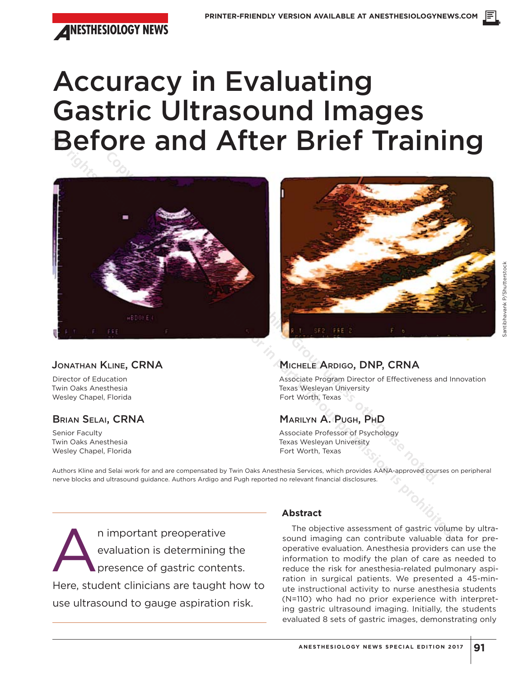

# Accuracy in Evaluating Gastric Ultrasound Images Before and After Brief Training





# JONATHAN KLINE, CRNA

Director of Education Twin Oaks Anesthesia Wesley Chapel, Florida

# BRIAN SELAI, CRNA

Senior Faculty Twin Oaks Anesthesia Wesley Chapel, Florida

# MICHELE ARDIGO, DNP, CRNA

Associate Program Director of Effectiveness and Innovation Texas Wesleyan University Fort Worth, Texas

# MARILYN A. PUGH, PHD

Associate Professor of Psychology Texas Wesleyan University Fort Worth, Texas

Authors Kline and Selai work for and are compensated by Twin Oaks Anesthesia Services, which provides AANA-approved courses on peripheral nerve blocks and ultrasound guidance. Authors Ardigo and Pugh reported no relevant financial disclosures.

n important preoperative<br>evaluation is determining<br>presence of gastric conten evaluation is determining the presence of gastric contents. Here, student clinicians are taught how to use ultrasound to gauge aspiration risk.

# **Abstract**

The objective assessment of gastric volume by ultrasound imaging can contribute valuable data for preoperative evaluation. Anesthesia providers can use the information to modify the plan of care as needed to reduce the risk for anesthesia-related pulmonary aspiration in surgical patients. We presented a 45-minute instructional activity to nurse anesthesia students (N=110) who had no prior experience with interpreting gastric ultrasound imaging. Initially, the students evaluated 8 sets of gastric images, demonstrating only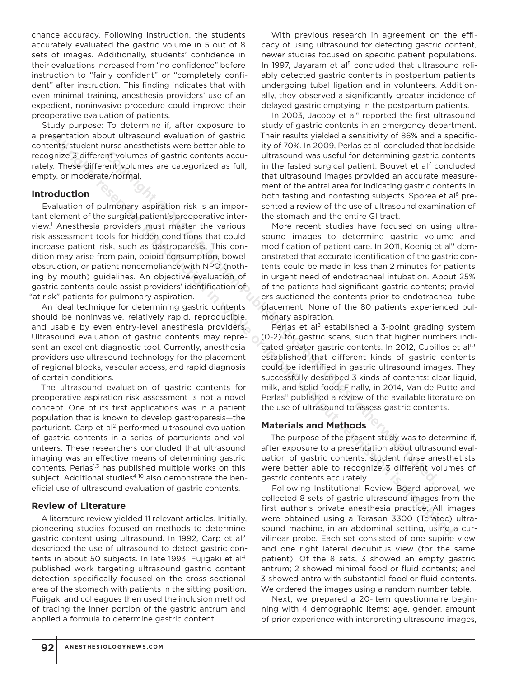chance accuracy. Following instruction, the students accurately evaluated the gastric volume in 5 out of 8 sets of images. Additionally, students' confidence in their evaluations increased from "no confidence" before instruction to "fairly confident" or "completely confident" after instruction. This finding indicates that with even minimal training, anesthesia providers' use of an expedient, noninvasive procedure could improve their preoperative evaluation of patients.

Study purpose: To determine if, after exposure to a presentation about ultrasound evaluation of gastric contents, student nurse anesthetists were better able to recognize 3 different volumes of gastric contents accurately. These different volumes are categorized as full, empty, or moderate/normal.

#### **Introduction**

Evaluation of pulmonary aspiration risk is an important element of the surgical patient's preoperative interview.1 Anesthesia providers must master the various risk assessment tools for hidden conditions that could increase patient risk, such as gastroparesis. This condition may arise from pain, opioid consumption, bowel obstruction, or patient noncompliance with NPO (nothing by mouth) guidelines. An objective evaluation of gastric contents could assist providers' identification of "at risk" patients for pulmonary aspiration.

An ideal technique for determining gastric contents should be noninvasive, relatively rapid, reproducible, and usable by even entry-level anesthesia providers. Ultrasound evaluation of gastric contents may represent an excellent diagnostic tool. Currently, anesthesia providers use ultrasound technology for the placement of regional blocks, vascular access, and rapid diagnosis of certain conditions.

The ultrasound evaluation of gastric contents for preoperative aspiration risk assessment is not a novel concept. One of its first applications was in a patient population that is known to develop gastroparesis—the parturient. Carp et al<sup>2</sup> performed ultrasound evaluation of gastric contents in a series of parturients and volunteers. These researchers concluded that ultrasound imaging was an effective means of determining gastric contents. Perlas<sup>1,3</sup> has published multiple works on this subject. Additional studies<sup>4-10</sup> also demonstrate the beneficial use of ultrasound evaluation of gastric contents. **All rights reserved.** Their results in the studient of partic Chart The Tresults yielded in the this couple and a space of the control in the partic control was used. The partic control was used to the control with the st

## **Review of Literature**

A literature review yielded 11 relevant articles. Initially, pioneering studies focused on methods to determine gastric content using ultrasound. In 1992, Carp et al<sup>2</sup> described the use of ultrasound to detect gastric contents in about 50 subjects. In late 1993, Fujigaki et al<sup>4</sup> published work targeting ultrasound gastric content detection specifically focused on the cross-sectional area of the stomach with patients in the sitting position. Fujigaki and colleagues then used the inclusion method of tracing the inner portion of the gastric antrum and applied a formula to determine gastric content.

With previous research in agreement on the efficacy of using ultrasound for detecting gastric content, newer studies focused on specific patient populations. In 1997, Jayaram et al<sup>5</sup> concluded that ultrasound reliably detected gastric contents in postpartum patients undergoing tubal ligation and in volunteers. Additionally, they observed a significantly greater incidence of delayed gastric emptying in the postpartum patients.

In 2003, Jacoby et al $6$  reported the first ultrasound study of gastric contents in an emergency department. Their results yielded a sensitivity of 86% and a specificity of 70%. In 2009, Perlas et al<sup>1</sup> concluded that bedside ultrasound was useful for determining gastric contents in the fasted surgical patient. Bouvet et al<sup>7</sup> concluded that ultrasound images provided an accurate measurement of the antral area for indicating gastric contents in both fasting and nonfasting subjects. Sporea et al<sup>8</sup> presented a review of the use of ultrasound examination of the stomach and the entire GI tract.

More recent studies have focused on using ultrasound images to determine gastric volume and modification of patient care. In 2011, Koenig et al<sup>9</sup> demonstrated that accurate identification of the gastric contents could be made in less than 2 minutes for patients in urgent need of endotracheal intubation. About 25% of the patients had significant gastric contents; providers suctioned the contents prior to endotracheal tube placement. None of the 80 patients experienced pulmonary aspiration. Int volumes of gastric contents accu-<br>
In the fasted surgical patient. Bouver te al<sup>7</sup> ephomal.<br>
In the fasted surgical patient. Bouver te al<sup>7</sup> ephomal.<br>
In the fasted surgical patient Chies and reductions<br>
Informal.<br>
Inf

Perlas et al<sup>3</sup> established a 3-point grading system (0-2) for gastric scans, such that higher numbers indicated greater gastric contents. In 2012, Cubillos et al<sup>10</sup> established that different kinds of gastric contents could be identified in gastric ultrasound images. They successfully described 3 kinds of contents: clear liquid, milk, and solid food. Finally, in 2014, Van de Putte and Perlas<sup>11</sup> published a review of the available literature on the use of ultrasound to assess gastric contents.

## **Materials and Methods**

The purpose of the present study was to determine if, after exposure to a presentation about ultrasound evaluation of gastric contents, student nurse anesthetists were better able to recognize 3 different volumes of gastric contents accurately.

Following Institutional Review Board approval, we collected 8 sets of gastric ultrasound images from the first author's private anesthesia practice. All images were obtained using a Terason 3300 (Teratec) ultrasound machine, in an abdominal setting, using a curvilinear probe. Each set consisted of one supine view and one right lateral decubitus view (for the same patient). Of the 8 sets, 3 showed an empty gastric antrum; 2 showed minimal food or fluid contents; and 3 showed antra with substantial food or fluid contents. We ordered the images using a random number table.

Next, we prepared a 20-item questionnaire beginning with 4 demographic items: age, gender, amount of prior experience with interpreting ultrasound images,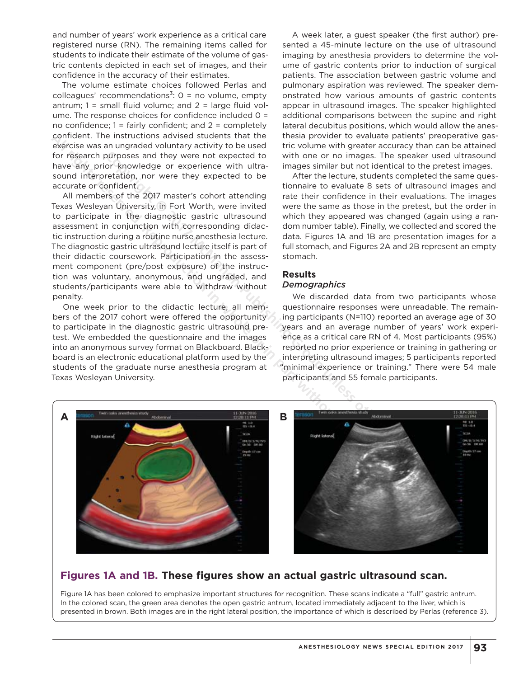and number of years' work experience as a critical care registered nurse (RN). The remaining items called for students to indicate their estimate of the volume of gastric contents depicted in each set of images, and their confidence in the accuracy of their estimates.

The volume estimate choices followed Perlas and colleagues' recommendations<sup>3</sup>:  $0 =$  no volume, empty antrum;  $1 =$  small fluid volume; and  $2 =$  large fluid volume. The response choices for confidence included 0 = no confidence;  $1 =$  fairly confident; and  $2 =$  completely confident. The instructions advised students that the exercise was an ungraded voluntary activity to be used for research purposes and they were not expected to have any prior knowledge or experience with ultrasound interpretation, nor were they expected to be accurate or confident.

All members of the 2017 master's cohort attending Texas Wesleyan University, in Fort Worth, were invited to participate in the diagnostic gastric ultrasound assessment in conjunction with corresponding didactic instruction during a routine nurse anesthesia lecture. The diagnostic gastric ultrasound lecture itself is part of their didactic coursework. Participation in the assessment component (pre/post exposure) of the instruction was voluntary, anonymous, and ungraded, and students/participants were able to withdraw without penalty.

One week prior to the didactic lecture, all members of the 2017 cohort were offered the opportunity to participate in the diagnostic gastric ultrasound pretest. We embedded the questionnaire and the images into an anonymous survey format on Blackboard. Blackboard is an electronic educational platform used by the students of the graduate nurse anesthesia program at Texas Wesleyan University.

A week later, a guest speaker (the first author) presented a 45-minute lecture on the use of ultrasound imaging by anesthesia providers to determine the volume of gastric contents prior to induction of surgical patients. The association between gastric volume and pulmonary aspiration was reviewed. The speaker demonstrated how various amounts of gastric contents appear in ultrasound images. The speaker highlighted additional comparisons between the supine and right lateral decubitus positions, which would allow the anesthesia provider to evaluate patients' preoperative gastric volume with greater accuracy than can be attained with one or no images. The speaker used ultrasound images similar but not identical to the pretest images.

After the lecture, students completed the same questionnaire to evaluate 8 sets of ultrasound images and rate their confidence in their evaluations. The images were the same as those in the pretest, but the order in which they appeared was changed (again using a random number table). Finally, we collected and scored the data. Figures 1A and 1B are presentation images for a full stomach, and Figures 2A and 2B represent an empty stomach.

## **Results**

## *Demographics*

We discarded data from two participants whose questionnaire responses were unreadable. The remaining participants (N=110) reported an average age of 30 years and an average number of years' work experience as a critical care RN of 4. Most participants (95%) reported no prior experience or training in gathering or interpreting ultrasound images; 5 participants reported "minimal experience or training." There were 54 male participants and 55 female participants.



# **Figures 1A and 1B. These figures show an actual gastric ultrasound scan.**

Figure 1A has been colored to emphasize important structures for recognition. These scans indicate a "full" gastric antrum. In the colored scan, the green area denotes the open gastric antrum, located immediately adjacent to the liver, which is presented in brown. Both images are in the right lateral position, the importance of which is described by Perlas (reference 3).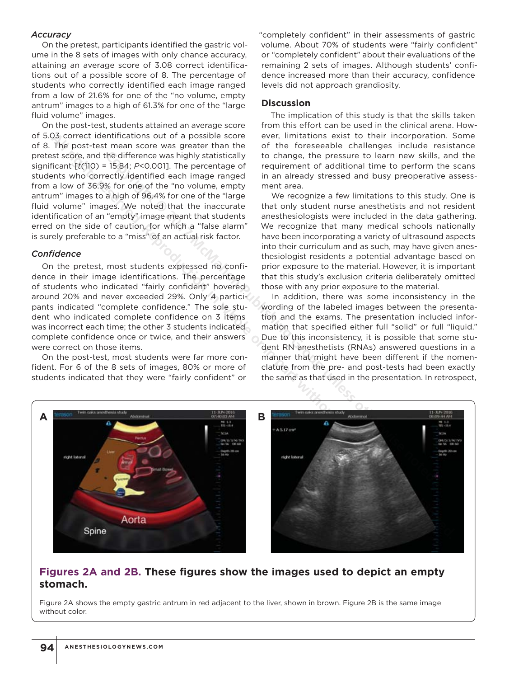## *Accuracy*

On the pretest, participants identified the gastric volume in the 8 sets of images with only chance accuracy, attaining an average score of 3.08 correct identifications out of a possible score of 8. The percentage of students who correctly identified each image ranged from a low of 21.6% for one of the "no volume, empty antrum" images to a high of 61.3% for one of the "large fluid volume" images.

On the post-test, students attained an average score of 5.03 correct identifications out of a possible score of 8. The post-test mean score was greater than the pretest score, and the difference was highly statistically significant [*t*(110) = 15.84; *P*<0.001]. The percentage of students who correctly identified each image ranged from a low of 36.9% for one of the "no volume, empty antrum" images to a high of 96.4% for one of the "large fluid volume" images. We noted that the inaccurate identification of an "empty" image meant that students erred on the side of caution, for which a "false alarm" is surely preferable to a "miss" of an actual risk factor.

## *Confidence*

On the pretest, most students expressed no confidence in their image identifications. The percentage of students who indicated "fairly confident" hovered around 20% and never exceeded 29%. Only 4 participants indicated "complete confidence." The sole student who indicated complete confidence on 3 items was incorrect each time; the other 3 students indicated complete confidence once or twice, and their answers were correct on those items.

On the post-test, most students were far more confident. For 6 of the 8 sets of images, 80% or more of students indicated that they were "fairly confident" or

"completely confident" in their assessments of gastric volume. About 70% of students were "fairly confident" or "completely confident" about their evaluations of the remaining 2 sets of images. Although students' confidence increased more than their accuracy, confidence levels did not approach grandiosity.

#### **Discussion**

The implication of this study is that the skills taken from this effort can be used in the clinical arena. However, limitations exist to their incorporation. Some of the foreseeable challenges include resistance to change, the pressure to learn new skills, and the requirement of additional time to perform the scans in an already stressed and busy preoperative assessment area.

We recognize a few limitations to this study. One is that only student nurse anesthetists and not resident anesthesiologists were included in the data gathering. We recognize that many medical schools nationally have been incorporating a variety of ultrasound aspects into their curriculum and as such, may have given anesthesiologist residents a potential advantage based on prior exposure to the material. However, it is important that this study's exclusion criteria deliberately omitted those with any prior exposure to the material.

In addition, there was some inconsistency in the wording of the labeled images between the presentation and the exams. The presentation included information that specified either full "solid" or full "liquid." Due to this inconsistency, it is possible that some student RN anesthetists (RNAs) answered questions in a manner that might have been different if the nomenclature from the pre- and post-tests had been exactly the same as that used in the presentation. In retrospect,



# **Figures 2A and 2B. These figures show the images used to depict an empty stomach.**

Figure 2A shows the empty gastric antrum in red adjacent to the liver, shown in brown. Figure 2B is the same image without color.